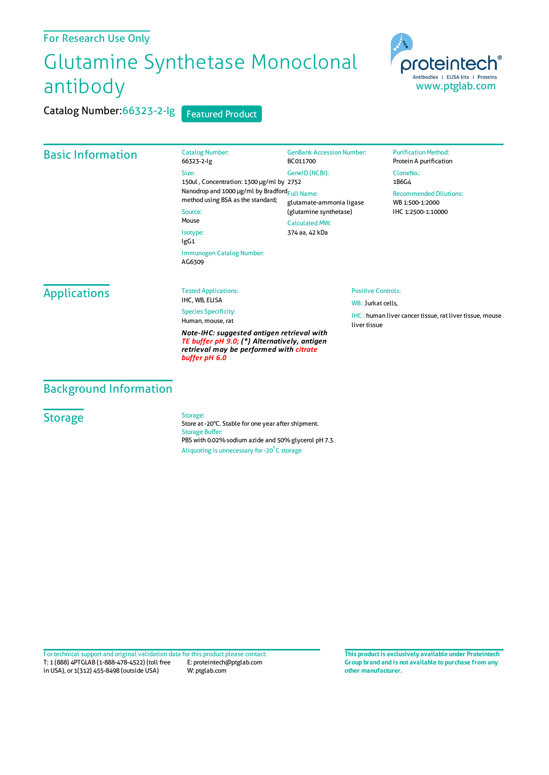## For Research Use Only

# Glutamine Synthetase Monoclonal antibody

Catalog Number: 66323-2-Ig Size:

Source: Mouse Isotype: IgG1

AG6309

Catalog Number:66323-2-Ig Featured Product

# Basic Information

150ul , Concentration: 1300 μg/ml by 2752 Nanodrop and 1000 μg/ml by Bradford<sub>Full Name:</sub> method using BSA as the standard; GenBank Accession Number: BC011700 GeneID(NCBI): glutamate-ammonia ligase (glutamine synthetase) CalculatedMW: 374 aa, 42 kDa

### **Purification Method:** Protein A purification CloneNo.: 1B6G4 Recommended Dilutions:

WB 1:500-1:2000 IHC 1:2500-1:10000

IHC : human liver cancer tissue, rat liver tissue, mouse

Positive Controls: WB: Jurkat cells,

liver tissue

**Applications** 

Tested Applications: IHC, WB, ELISA

Immunogen Catalog Number:

Species Specificity: Human, mouse, rat

*Note-IHC: suggested antigen retrieval with TE buffer pH 9.0; (\*) Alternatively, antigen retrieval may be performed with citrate buffer pH 6.0*

# Background Information

**Storage** 

Storage:

Store at -20°C. Stable for one year after shipment. Storage Buffer: PBS with 0.02% sodium azide and 50% glycerol pH 7.3. Aliquoting is unnecessary for -20<sup>°</sup>C storage

T: 1 (888) 4PTGLAB (1-888-478-4522) (toll free in USA), or 1(312) 455-8498 (outside USA) E: proteintech@ptglab.com W: ptglab.com Fortechnical support and original validation data forthis product please contact: **This productis exclusively available under Proteintech**

**Group brand and is not available to purchase from any other manufacturer.**